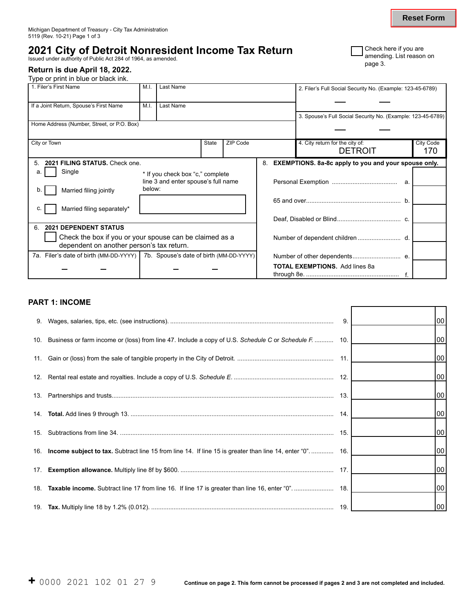# **2021 City of Detroit Nonresident Income Tax Return**  <br>Issued under authority of Public Act 284 of 1964, as amended.

## **Return is due April 18, 2022.**

Type or print in blue or black ink.

| <b>T</b> Check here if you are |
|--------------------------------|
| amending. List reason on       |
| page 3.                        |

| 1. Filer's First Name                                                            | Last Name<br>M.I. |                                     |              |          |    | 2. Filer's Full Social Security No. (Example: 123-45-6789)  |                  |
|----------------------------------------------------------------------------------|-------------------|-------------------------------------|--------------|----------|----|-------------------------------------------------------------|------------------|
| If a Joint Return, Spouse's First Name<br>M.I.<br>Last Name                      |                   |                                     |              |          |    |                                                             |                  |
|                                                                                  |                   |                                     |              |          |    | 3. Spouse's Full Social Security No. (Example: 123-45-6789) |                  |
| Home Address (Number, Street, or P.O. Box)                                       |                   |                                     |              |          |    |                                                             |                  |
| City or Town                                                                     |                   |                                     | <b>State</b> | ZIP Code |    | 4. City return for the city of:                             | <b>City Code</b> |
|                                                                                  |                   |                                     |              |          |    | <b>DETROIT</b>                                              | 170              |
| 2021 FILING STATUS, Check one.                                                   |                   |                                     |              |          | 8. | <b>EXEMPTIONS.</b> 8a-8c apply to you and your spouse only. |                  |
| Single                                                                           |                   | * If you check box "c," complete    |              |          |    |                                                             |                  |
|                                                                                  |                   | line 3 and enter spouse's full name |              |          |    |                                                             |                  |
| Married filing jointly                                                           | below:            |                                     |              |          |    |                                                             |                  |
|                                                                                  |                   |                                     |              |          |    |                                                             |                  |
| Married filing separately*<br>C.                                                 |                   |                                     |              |          |    |                                                             |                  |
|                                                                                  |                   |                                     |              |          |    |                                                             |                  |
| <b>2021 DEPENDENT STATUS</b><br>6                                                |                   |                                     |              |          |    |                                                             |                  |
| Check the box if you or your spouse can be claimed as a                          |                   |                                     |              |          |    |                                                             |                  |
| dependent on another person's tax return.                                        |                   |                                     |              |          |    |                                                             |                  |
| 7a. Filer's date of birth (MM-DD-YYYY)   7b. Spouse's date of birth (MM-DD-YYYY) |                   |                                     |              |          |    |                                                             |                  |
|                                                                                  |                   |                                     |              |          |    | <b>TOTAL EXEMPTIONS.</b> Add lines 8a                       |                  |
|                                                                                  |                   |                                     |              |          |    |                                                             |                  |

## **PART 1: INCOME**

|                                                                                                                    | 9. | 00 <sub>1</sub> |
|--------------------------------------------------------------------------------------------------------------------|----|-----------------|
| 10. Business or farm income or (loss) from line 47. Include a copy of U.S. Schedule C or Schedule F.  10.          |    | 00              |
|                                                                                                                    |    | 00              |
|                                                                                                                    |    | 00 <sub>1</sub> |
|                                                                                                                    |    | 00              |
|                                                                                                                    |    | 00 <sub>1</sub> |
|                                                                                                                    |    | 00 <sub>1</sub> |
| 16. <b>Income subject to tax.</b> Subtract line 15 from line 14. If line 15 is greater than line 14, enter "0" 16. |    | 00              |
|                                                                                                                    |    | 00 <sub>1</sub> |
|                                                                                                                    |    | 00              |
|                                                                                                                    |    | 00              |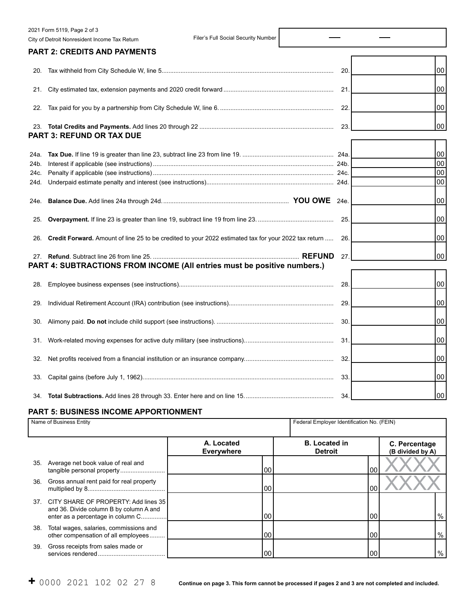|      | 2021 Form 5119, Page 2 of 3                                                                          |     |    |
|------|------------------------------------------------------------------------------------------------------|-----|----|
|      | Filer's Full Social Security Number<br>City of Detroit Nonresident Income Tax Return                 |     |    |
|      | <b>PART 2: CREDITS AND PAYMENTS</b>                                                                  |     |    |
| 20.  |                                                                                                      | 20  | 00 |
| 21.  |                                                                                                      | 21  | 00 |
| 22.  |                                                                                                      | 22. | 00 |
|      | <b>PART 3: REFUND OR TAX DUE</b>                                                                     | 23. | 00 |
| 24a. |                                                                                                      |     | 00 |
| 24b. |                                                                                                      |     | 00 |
| 24c. |                                                                                                      |     | 00 |
| 24d. |                                                                                                      |     | 00 |
| 24e. |                                                                                                      |     | 00 |
| 25.  |                                                                                                      | 25. | 00 |
| 26.  | Credit Forward. Amount of line 25 to be credited to your 2022 estimated tax for your 2022 tax return | 26. | 00 |
|      | <b>REFUND</b><br>PART 4: SUBTRACTIONS FROM INCOME (All entries must be positive numbers.)            | 27. | 00 |
|      |                                                                                                      |     |    |
| 28.  |                                                                                                      | 28. | 00 |
| 29.  |                                                                                                      | 29  | 00 |
| 30.  |                                                                                                      | 30  | 00 |
| 31.  |                                                                                                      | 31. | 00 |
| 32.  |                                                                                                      | 32. | 00 |
| 33.  |                                                                                                      | 33. | 00 |
| 34.  |                                                                                                      | 34  | 00 |

## **PART 5: BUSINESS INCOME APPORTIONMENT**

|     | Name of Business Entity                                                                                                  |                                 | Federal Employer Identification No. (FEIN) |                                   |
|-----|--------------------------------------------------------------------------------------------------------------------------|---------------------------------|--------------------------------------------|-----------------------------------|
|     |                                                                                                                          | A. Located<br><b>Everywhere</b> | <b>B.</b> Located in<br><b>Detroit</b>     | C. Percentage<br>(B divided by A) |
| 35. | Average net book value of real and<br>tangible personal property                                                         | 00                              | 00                                         |                                   |
| 36. | Gross annual rent paid for real property                                                                                 | 00                              | 00                                         |                                   |
|     | 37. CITY SHARE OF PROPERTY: Add lines 35<br>and 36. Divide column B by column A and<br>enter as a percentage in column C | 00                              | 00                                         | $\%$                              |
| 38. | Total wages, salaries, commissions and<br>other compensation of all employees                                            | 00                              | 00                                         | %                                 |
| 39. | Gross receipts from sales made or                                                                                        | 00                              | 00                                         | %                                 |